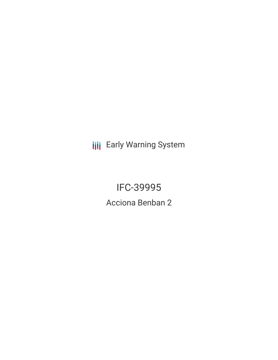**III** Early Warning System

**IFC-39995** Acciona Benban 2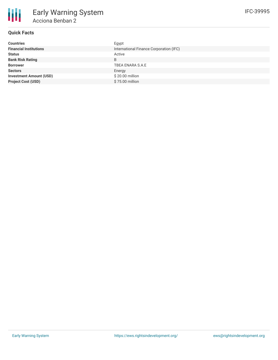

# **Quick Facts**

| <b>Countries</b>               | Egypt                                   |
|--------------------------------|-----------------------------------------|
| <b>Financial Institutions</b>  | International Finance Corporation (IFC) |
| <b>Status</b>                  | Active                                  |
| <b>Bank Risk Rating</b>        | B                                       |
| <b>Borrower</b>                | TBEA ENARA S.A.E                        |
| <b>Sectors</b>                 | Energy                                  |
| <b>Investment Amount (USD)</b> | \$20.00 million                         |
| <b>Project Cost (USD)</b>      | \$75.00 million                         |
|                                |                                         |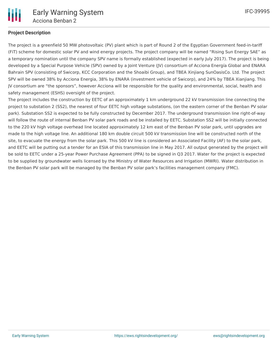

## **Project Description**

The project is a greenfield 50 MW photovoltaic (PV) plant which is part of Round 2 of the Egyptian Government feed-in-tariff (FiT) scheme for domestic solar PV and wind energy projects. The project company will be named "Rising Sun Energy SAE" as a temporary nomination until the company SPV name is formally established (expected in early July 2017). The project is being developed by a Special Purpose Vehicle (SPV) owned by a Joint Venture (JV) consortium of Acciona Energía Global and ENARA Bahrain SPV (consisting of Swicorp, KCC Corporation and the Shoaibi Group), and TBEA Xinjiang SunOasisCo. Ltd. The project SPV will be owned 38% by Acciona Energia, 38% by ENARA (investment vehicle of Swicorp), and 24% by TBEA Xianjiang. This JV consortium are "the sponsors", however Acciona will be responsible for the quality and environmental, social, health and safety management (ESHS) oversight of the project.

The project includes the construction by EETC of an approximately 1 km underground 22 kV transmission line connecting the project to substation 2 (SS2), the nearest of four EETC high voltage substations, (on the eastern corner of the Benban PV solar park). Substation SS2 is expected to be fully constructed by December 2017. The underground transmission line right-of-way will follow the route of internal Benban PV solar park roads and be installed by EETC. Substation SS2 will be initially connected to the 220 kV high voltage overhead line located approximately 12 km east of the Benban PV solar park, until upgrades are made to the high voltage line. An additional 180 km double circuit 500 kV transmission line will be constructed north of the site, to evacuate the energy from the solar park. This 500 kV line is considered an Associated Facility (AF) to the solar park, and EETC will be putting out a tender for an ESIA of this transmission line in May 2017. All output generated by the project will be sold to EETC under a 25-year Power Purchase Agreement (PPA) to be signed in Q3 2017. Water for the project is expected to be supplied by groundwater wells licensed by the Ministry of Water Resources and Irrigation (MWRI). Water distribution in the Benban PV solar park will be managed by the Benban PV solar park's facilities management company (FMC).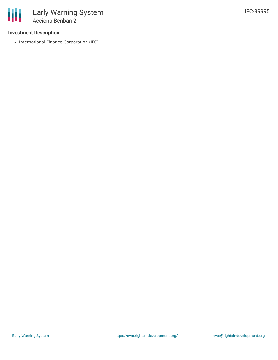## **Investment Description**

• International Finance Corporation (IFC)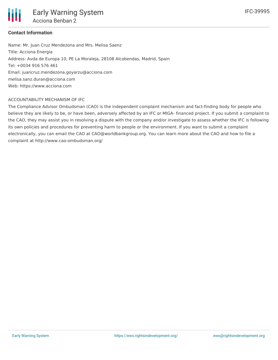

## **Contact Information**

Name: Mr. Juan Cruz Mendezona and Mrs. Melisa Saenz Title: Acciona Energia Address: Avda de Europa 10, PE La Moraleja, 28108 Alcobendas, Madrid, Spain Tel: +0034 916 576 461 Email: juancruz.mendezona.goyarzu@acciona.com melisa.sanz.duran@acciona.com Web: https://www.acciona.com

## ACCOUNTABILITY MECHANISM OF IFC

The Compliance Advisor Ombudsman (CAO) is the independent complaint mechanism and fact-finding body for people who believe they are likely to be, or have been, adversely affected by an IFC or MIGA- financed project. If you submit a complaint to the CAO, they may assist you in resolving a dispute with the company and/or investigate to assess whether the IFC is following its own policies and procedures for preventing harm to people or the environment. If you want to submit a complaint electronically, you can email the CAO at CAO@worldbankgroup.org. You can learn more about the CAO and how to file a complaint at http://www.cao-ombudsman.org/